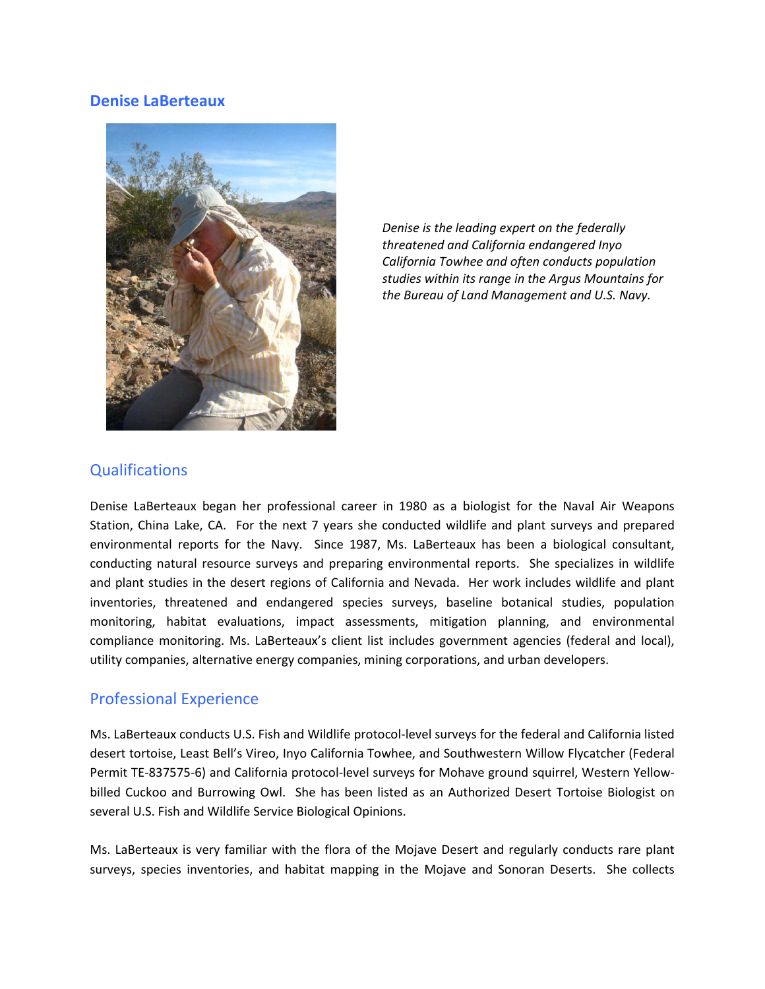#### **Denise LaBerteaux**



*Denise is the leading expert on the federally threatened and California endangered Inyo California Towhee and often conducts population studies within its range in the Argus Mountains for the Bureau of Land Management and U.S. Navy.*

### **Qualifications**

Denise LaBerteaux began her professional career in 1980 as a biologist for the Naval Air Weapons Station, China Lake, CA. For the next 7 years she conducted wildlife and plant surveys and prepared environmental reports for the Navy. Since 1987, Ms. LaBerteaux has been a biological consultant, conducting natural resource surveys and preparing environmental reports. She specializes in wildlife and plant studies in the desert regions of California and Nevada. Her work includes wildlife and plant inventories, threatened and endangered species surveys, baseline botanical studies, population monitoring, habitat evaluations, impact assessments, mitigation planning, and environmental compliance monitoring. Ms. LaBerteaux's client list includes government agencies (federal and local), utility companies, alternative energy companies, mining corporations, and urban developers.

### Professional Experience

Ms. LaBerteaux conducts U.S. Fish and Wildlife protocol-level surveys for the federal and California listed desert tortoise, Least Bell's Vireo, Inyo California Towhee, and Southwestern Willow Flycatcher (Federal Permit TE-837575-6) and California protocol-level surveys for Mohave ground squirrel, Western Yellowbilled Cuckoo and Burrowing Owl. She has been listed as an Authorized Desert Tortoise Biologist on several U.S. Fish and Wildlife Service Biological Opinions.

Ms. LaBerteaux is very familiar with the flora of the Mojave Desert and regularly conducts rare plant surveys, species inventories, and habitat mapping in the Mojave and Sonoran Deserts. She collects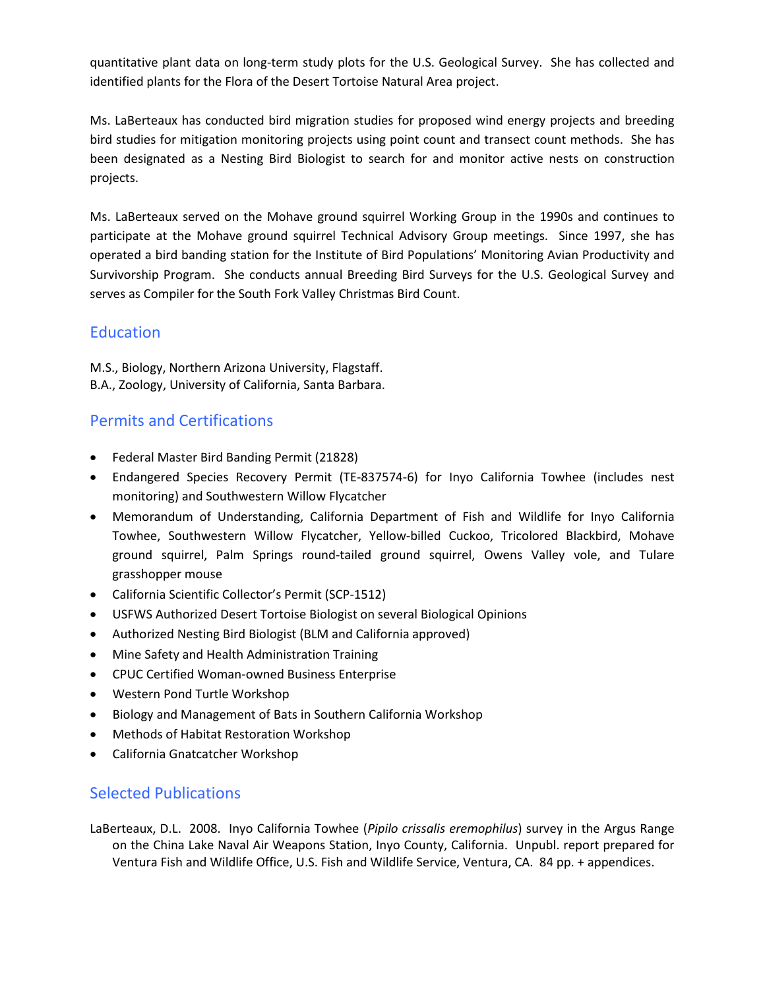quantitative plant data on long-term study plots for the U.S. Geological Survey. She has collected and identified plants for the Flora of the Desert Tortoise Natural Area project.

Ms. LaBerteaux has conducted bird migration studies for proposed wind energy projects and breeding bird studies for mitigation monitoring projects using point count and transect count methods. She has been designated as a Nesting Bird Biologist to search for and monitor active nests on construction projects.

Ms. LaBerteaux served on the Mohave ground squirrel Working Group in the 1990s and continues to participate at the Mohave ground squirrel Technical Advisory Group meetings. Since 1997, she has operated a bird banding station for the Institute of Bird Populations' Monitoring Avian Productivity and Survivorship Program. She conducts annual Breeding Bird Surveys for the U.S. Geological Survey and serves as Compiler for the South Fork Valley Christmas Bird Count.

# **Education**

M.S., Biology, Northern Arizona University, Flagstaff. B.A., Zoology, University of California, Santa Barbara.

# Permits and Certifications

- Federal Master Bird Banding Permit (21828)
- Endangered Species Recovery Permit (TE-837574-6) for Inyo California Towhee (includes nest monitoring) and Southwestern Willow Flycatcher
- Memorandum of Understanding, California Department of Fish and Wildlife for Inyo California Towhee, Southwestern Willow Flycatcher, Yellow-billed Cuckoo, Tricolored Blackbird, Mohave ground squirrel, Palm Springs round-tailed ground squirrel, Owens Valley vole, and Tulare grasshopper mouse
- California Scientific Collector's Permit (SCP-1512)
- USFWS Authorized Desert Tortoise Biologist on several Biological Opinions
- Authorized Nesting Bird Biologist (BLM and California approved)
- Mine Safety and Health Administration Training
- CPUC Certified Woman-owned Business Enterprise
- Western Pond Turtle Workshop
- Biology and Management of Bats in Southern California Workshop
- Methods of Habitat Restoration Workshop
- California Gnatcatcher Workshop

### Selected Publications

LaBerteaux, D.L. 2008. Inyo California Towhee (*Pipilo crissalis eremophilus*) survey in the Argus Range on the China Lake Naval Air Weapons Station, Inyo County, California. Unpubl. report prepared for Ventura Fish and Wildlife Office, U.S. Fish and Wildlife Service, Ventura, CA. 84 pp. + appendices.